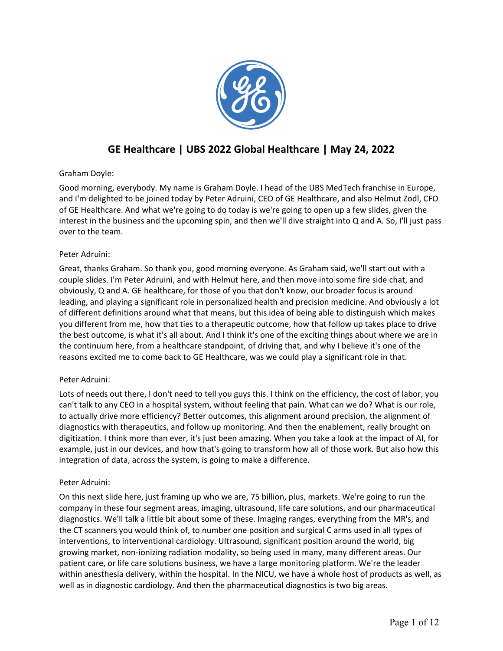

# **GE Healthcare | UBS 2022 Global Healthcare | May 24, 2022**

# Graham Doyle:

Good morning, everybody. My name is Graham Doyle. I head of the UBS MedTech franchise in Europe, and I'm delighted to be joined today by Peter Adruini, CEO of GE Healthcare, and also Helmut Zodl, CFO of GE Healthcare. And what we're going to do today is we're going to open up a few slides, given the interest in the business and the upcoming spin, and then we'll dive straight into Q and A. So, I'll just pass over to the team.

# Peter Adruini:

Great, thanks Graham. So thank you, good morning everyone. As Graham said, we'll start out with a couple slides. I'm Peter Adruini, and with Helmut here, and then move into some fire side chat, and obviously, Q and A. GE healthcare, for those of you that don't know, our broader focus is around leading, and playing a significant role in personalized health and precision medicine. And obviously a lot of different definitions around what that means, but this idea of being able to distinguish which makes you different from me, how that ties to a therapeutic outcome, how that follow up takes place to drive the best outcome, is what it's all about. And I think it's one of the exciting things about where we are in the continuum here, from a healthcare standpoint, of driving that, and why I believe it's one of the reasons excited me to come back to GE Healthcare, was we could play a significant role in that.

# Peter Adruini:

Lots of needs out there, I don't need to tell you guys this. I think on the efficiency, the cost of labor, you can't talk to any CEO in a hospital system, without feeling that pain. What can we do? What is our role, to actually drive more efficiency? Better outcomes, this alignment around precision, the alignment of diagnostics with therapeutics, and follow up monitoring. And then the enablement, really brought on digitization. I think more than ever, it's just been amazing. When you take a look at the impact of AI, for example, just in our devices, and how that's going to transform how all of those work. But also how this integration of data, across the system, is going to make a difference.

# Peter Adruini:

On this next slide here, just framing up who we are, 75 billion, plus, markets. We're going to run the company in these four segment areas, imaging, ultrasound, life care solutions, and our pharmaceutical diagnostics. We'll talk a little bit about some of these. Imaging ranges, everything from the MR's, and the CT scanners you would think of, to number one position and surgical C arms used in all types of interventions, to interventional cardiology. Ultrasound, significant position around the world, big growing market, non-ionizing radiation modality, so being used in many, many different areas. Our patient care, or life care solutions business, we have a large monitoring platform. We're the leader within anesthesia delivery, within the hospital. In the NICU, we have a whole host of products as well, as well as in diagnostic cardiology. And then the pharmaceutical diagnostics is two big areas.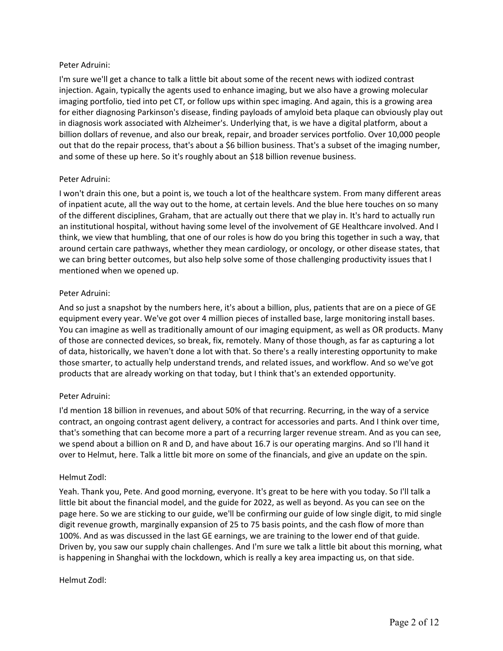# Peter Adruini:

I'm sure we'll get a chance to talk a little bit about some of the recent news with iodized contrast injection. Again, typically the agents used to enhance imaging, but we also have a growing molecular imaging portfolio, tied into pet CT, or follow ups within spec imaging. And again, this is a growing area for either diagnosing Parkinson's disease, finding payloads of amyloid beta plaque can obviously play out in diagnosis work associated with Alzheimer's. Underlying that, is we have a digital platform, about a billion dollars of revenue, and also our break, repair, and broader services portfolio. Over 10,000 people out that do the repair process, that's about a \$6 billion business. That's a subset of the imaging number, and some of these up here. So it's roughly about an \$18 billion revenue business.

# Peter Adruini:

I won't drain this one, but a point is, we touch a lot of the healthcare system. From many different areas of inpatient acute, all the way out to the home, at certain levels. And the blue here touches on so many of the different disciplines, Graham, that are actually out there that we play in. It's hard to actually run an institutional hospital, without having some level of the involvement of GE Healthcare involved. And I think, we view that humbling, that one of our roles is how do you bring this together in such a way, that around certain care pathways, whether they mean cardiology, or oncology, or other disease states, that we can bring better outcomes, but also help solve some of those challenging productivity issues that I mentioned when we opened up.

# Peter Adruini:

And so just a snapshot by the numbers here, it's about a billion, plus, patients that are on a piece of GE equipment every year. We've got over 4 million pieces of installed base, large monitoring install bases. You can imagine as well as traditionally amount of our imaging equipment, as well as OR products. Many of those are connected devices, so break, fix, remotely. Many of those though, as far as capturing a lot of data, historically, we haven't done a lot with that. So there's a really interesting opportunity to make those smarter, to actually help understand trends, and related issues, and workflow. And so we've got products that are already working on that today, but I think that's an extended opportunity.

# Peter Adruini:

I'd mention 18 billion in revenues, and about 50% of that recurring. Recurring, in the way of a service contract, an ongoing contrast agent delivery, a contract for accessories and parts. And I think over time, that's something that can become more a part of a recurring larger revenue stream. And as you can see, we spend about a billion on R and D, and have about 16.7 is our operating margins. And so I'll hand it over to Helmut, here. Talk a little bit more on some of the financials, and give an update on the spin.

#### Helmut Zodl:

Yeah. Thank you, Pete. And good morning, everyone. It's great to be here with you today. So I'll talk a little bit about the financial model, and the guide for 2022, as well as beyond. As you can see on the page here. So we are sticking to our guide, we'll be confirming our guide of low single digit, to mid single digit revenue growth, marginally expansion of 25 to 75 basis points, and the cash flow of more than 100%. And as was discussed in the last GE earnings, we are training to the lower end of that guide. Driven by, you saw our supply chain challenges. And I'm sure we talk a little bit about this morning, what is happening in Shanghai with the lockdown, which is really a key area impacting us, on that side.

#### Helmut Zodl: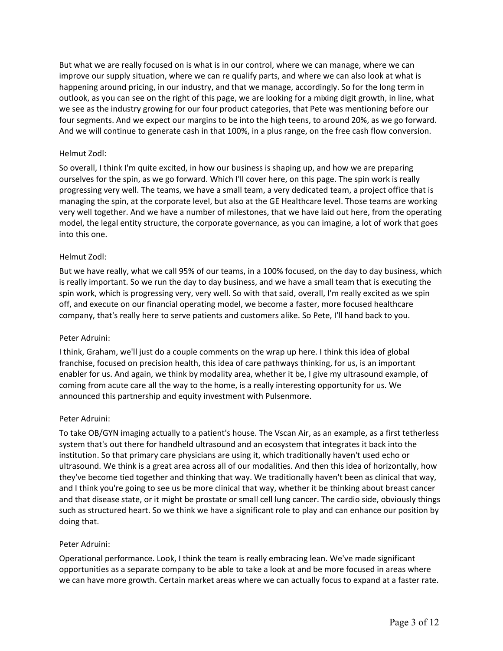But what we are really focused on is what is in our control, where we can manage, where we can improve our supply situation, where we can re qualify parts, and where we can also look at what is happening around pricing, in our industry, and that we manage, accordingly. So for the long term in outlook, as you can see on the right of this page, we are looking for a mixing digit growth, in line, what we see as the industry growing for our four product categories, that Pete was mentioning before our four segments. And we expect our margins to be into the high teens, to around 20%, as we go forward. And we will continue to generate cash in that 100%, in a plus range, on the free cash flow conversion.

# Helmut Zodl:

So overall, I think I'm quite excited, in how our business is shaping up, and how we are preparing ourselves for the spin, as we go forward. Which I'll cover here, on this page. The spin work is really progressing very well. The teams, we have a small team, a very dedicated team, a project office that is managing the spin, at the corporate level, but also at the GE Healthcare level. Those teams are working very well together. And we have a number of milestones, that we have laid out here, from the operating model, the legal entity structure, the corporate governance, as you can imagine, a lot of work that goes into this one.

#### Helmut Zodl:

But we have really, what we call 95% of our teams, in a 100% focused, on the day to day business, which is really important. So we run the day to day business, and we have a small team that is executing the spin work, which is progressing very, very well. So with that said, overall, I'm really excited as we spin off, and execute on our financial operating model, we become a faster, more focused healthcare company, that's really here to serve patients and customers alike. So Pete, I'll hand back to you.

#### Peter Adruini:

I think, Graham, we'll just do a couple comments on the wrap up here. I think this idea of global franchise, focused on precision health, this idea of care pathways thinking, for us, is an important enabler for us. And again, we think by modality area, whether it be, I give my ultrasound example, of coming from acute care all the way to the home, is a really interesting opportunity for us. We announced this partnership and equity investment with Pulsenmore.

#### Peter Adruini:

To take OB/GYN imaging actually to a patient's house. The Vscan Air, as an example, as a first tetherless system that's out there for handheld ultrasound and an ecosystem that integrates it back into the institution. So that primary care physicians are using it, which traditionally haven't used echo or ultrasound. We think is a great area across all of our modalities. And then this idea of horizontally, how they've become tied together and thinking that way. We traditionally haven't been as clinical that way, and I think you're going to see us be more clinical that way, whether it be thinking about breast cancer and that disease state, or it might be prostate or small cell lung cancer. The cardio side, obviously things such as structured heart. So we think we have a significant role to play and can enhance our position by doing that.

#### Peter Adruini:

Operational performance. Look, I think the team is really embracing lean. We've made significant opportunities as a separate company to be able to take a look at and be more focused in areas where we can have more growth. Certain market areas where we can actually focus to expand at a faster rate.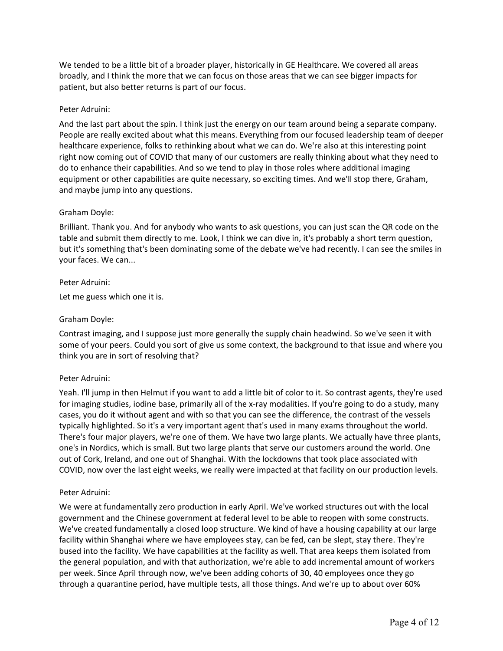We tended to be a little bit of a broader player, historically in GE Healthcare. We covered all areas broadly, and I think the more that we can focus on those areas that we can see bigger impacts for patient, but also better returns is part of our focus.

# Peter Adruini:

And the last part about the spin. I think just the energy on our team around being a separate company. People are really excited about what this means. Everything from our focused leadership team of deeper healthcare experience, folks to rethinking about what we can do. We're also at this interesting point right now coming out of COVID that many of our customers are really thinking about what they need to do to enhance their capabilities. And so we tend to play in those roles where additional imaging equipment or other capabilities are quite necessary, so exciting times. And we'll stop there, Graham, and maybe jump into any questions.

# Graham Doyle:

Brilliant. Thank you. And for anybody who wants to ask questions, you can just scan the QR code on the table and submit them directly to me. Look, I think we can dive in, it's probably a short term question, but it's something that's been dominating some of the debate we've had recently. I can see the smiles in your faces. We can...

#### Peter Adruini:

Let me guess which one it is.

# Graham Doyle:

Contrast imaging, and I suppose just more generally the supply chain headwind. So we've seen it with some of your peers. Could you sort of give us some context, the background to that issue and where you think you are in sort of resolving that?

#### Peter Adruini:

Yeah. I'll jump in then Helmut if you want to add a little bit of color to it. So contrast agents, they're used for imaging studies, iodine base, primarily all of the x-ray modalities. If you're going to do a study, many cases, you do it without agent and with so that you can see the difference, the contrast of the vessels typically highlighted. So it's a very important agent that's used in many exams throughout the world. There's four major players, we're one of them. We have two large plants. We actually have three plants, one's in Nordics, which is small. But two large plants that serve our customers around the world. One out of Cork, Ireland, and one out of Shanghai. With the lockdowns that took place associated with COVID, now over the last eight weeks, we really were impacted at that facility on our production levels.

#### Peter Adruini:

We were at fundamentally zero production in early April. We've worked structures out with the local government and the Chinese government at federal level to be able to reopen with some constructs. We've created fundamentally a closed loop structure. We kind of have a housing capability at our large facility within Shanghai where we have employees stay, can be fed, can be slept, stay there. They're bused into the facility. We have capabilities at the facility as well. That area keeps them isolated from the general population, and with that authorization, we're able to add incremental amount of workers per week. Since April through now, we've been adding cohorts of 30, 40 employees once they go through a quarantine period, have multiple tests, all those things. And we're up to about over 60%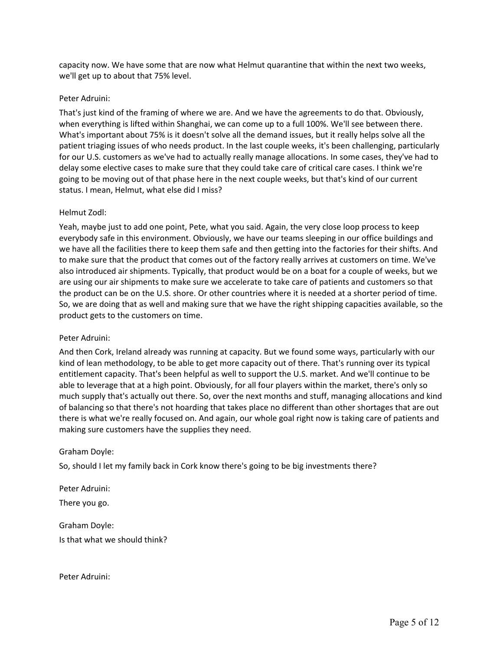capacity now. We have some that are now what Helmut quarantine that within the next two weeks, we'll get up to about that 75% level.

# Peter Adruini:

That's just kind of the framing of where we are. And we have the agreements to do that. Obviously, when everything is lifted within Shanghai, we can come up to a full 100%. We'll see between there. What's important about 75% is it doesn't solve all the demand issues, but it really helps solve all the patient triaging issues of who needs product. In the last couple weeks, it's been challenging, particularly for our U.S. customers as we've had to actually really manage allocations. In some cases, they've had to delay some elective cases to make sure that they could take care of critical care cases. I think we're going to be moving out of that phase here in the next couple weeks, but that's kind of our current status. I mean, Helmut, what else did I miss?

# Helmut Zodl:

Yeah, maybe just to add one point, Pete, what you said. Again, the very close loop process to keep everybody safe in this environment. Obviously, we have our teams sleeping in our office buildings and we have all the facilities there to keep them safe and then getting into the factories for their shifts. And to make sure that the product that comes out of the factory really arrives at customers on time. We've also introduced air shipments. Typically, that product would be on a boat for a couple of weeks, but we are using our air shipments to make sure we accelerate to take care of patients and customers so that the product can be on the U.S. shore. Or other countries where it is needed at a shorter period of time. So, we are doing that as well and making sure that we have the right shipping capacities available, so the product gets to the customers on time.

#### Peter Adruini:

And then Cork, Ireland already was running at capacity. But we found some ways, particularly with our kind of lean methodology, to be able to get more capacity out of there. That's running over its typical entitlement capacity. That's been helpful as well to support the U.S. market. And we'll continue to be able to leverage that at a high point. Obviously, for all four players within the market, there's only so much supply that's actually out there. So, over the next months and stuff, managing allocations and kind of balancing so that there's not hoarding that takes place no different than other shortages that are out there is what we're really focused on. And again, our whole goal right now is taking care of patients and making sure customers have the supplies they need.

#### Graham Doyle:

So, should I let my family back in Cork know there's going to be big investments there?

Peter Adruini: There you go. Graham Doyle:

Is that what we should think?

Peter Adruini: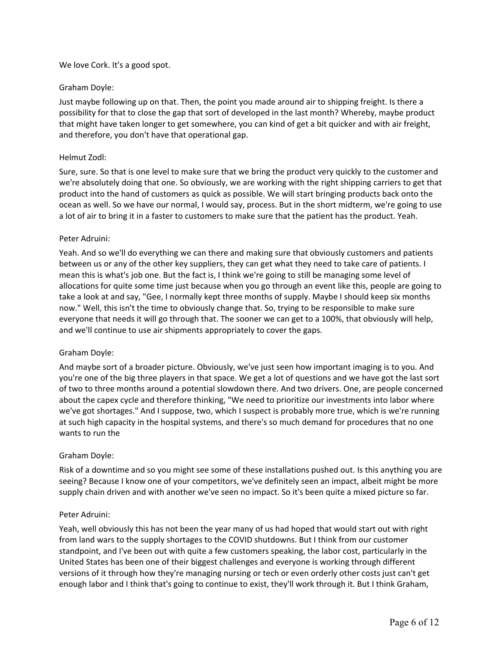# We love Cork. It's a good spot.

# Graham Doyle:

Just maybe following up on that. Then, the point you made around air to shipping freight. Is there a possibility for that to close the gap that sort of developed in the last month? Whereby, maybe product that might have taken longer to get somewhere, you can kind of get a bit quicker and with air freight, and therefore, you don't have that operational gap.

#### Helmut Zodl:

Sure, sure. So that is one level to make sure that we bring the product very quickly to the customer and we're absolutely doing that one. So obviously, we are working with the right shipping carriers to get that product into the hand of customers as quick as possible. We will start bringing products back onto the ocean as well. So we have our normal, I would say, process. But in the short midterm, we're going to use a lot of air to bring it in a faster to customers to make sure that the patient has the product. Yeah.

# Peter Adruini:

Yeah. And so we'll do everything we can there and making sure that obviously customers and patients between us or any of the other key suppliers, they can get what they need to take care of patients. I mean this is what's job one. But the fact is, I think we're going to still be managing some level of allocations for quite some time just because when you go through an event like this, people are going to take a look at and say, "Gee, I normally kept three months of supply. Maybe I should keep six months now." Well, this isn't the time to obviously change that. So, trying to be responsible to make sure everyone that needs it will go through that. The sooner we can get to a 100%, that obviously will help, and we'll continue to use air shipments appropriately to cover the gaps.

# Graham Doyle:

And maybe sort of a broader picture. Obviously, we've just seen how important imaging is to you. And you're one of the big three players in that space. We get a lot of questions and we have got the last sort of two to three months around a potential slowdown there. And two drivers. One, are people concerned about the capex cycle and therefore thinking, "We need to prioritize our investments into labor where we've got shortages." And I suppose, two, which I suspect is probably more true, which is we're running at such high capacity in the hospital systems, and there's so much demand for procedures that no one wants to run the

#### Graham Doyle:

Risk of a downtime and so you might see some of these installations pushed out. Is this anything you are seeing? Because I know one of your competitors, we've definitely seen an impact, albeit might be more supply chain driven and with another we've seen no impact. So it's been quite a mixed picture so far.

#### Peter Adruini:

Yeah, well obviously this has not been the year many of us had hoped that would start out with right from land wars to the supply shortages to the COVID shutdowns. But I think from our customer standpoint, and I've been out with quite a few customers speaking, the labor cost, particularly in the United States has been one of their biggest challenges and everyone is working through different versions of it through how they're managing nursing or tech or even orderly other costs just can't get enough labor and I think that's going to continue to exist, they'll work through it. But I think Graham,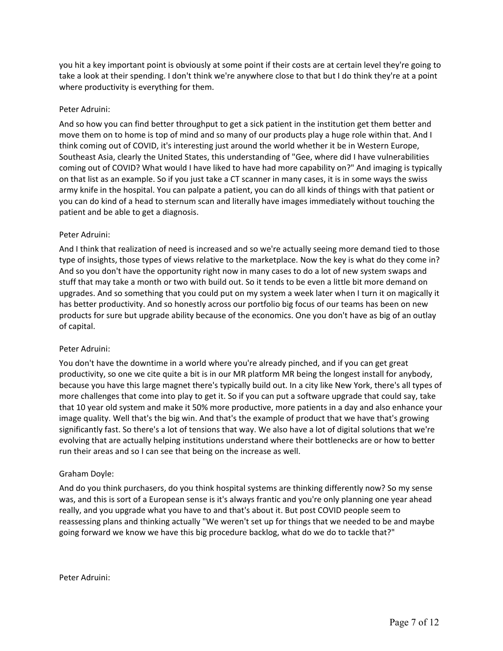you hit a key important point is obviously at some point if their costs are at certain level they're going to take a look at their spending. I don't think we're anywhere close to that but I do think they're at a point where productivity is everything for them.

# Peter Adruini:

And so how you can find better throughput to get a sick patient in the institution get them better and move them on to home is top of mind and so many of our products play a huge role within that. And I think coming out of COVID, it's interesting just around the world whether it be in Western Europe, Southeast Asia, clearly the United States, this understanding of "Gee, where did I have vulnerabilities coming out of COVID? What would I have liked to have had more capability on?" And imaging is typically on that list as an example. So if you just take a CT scanner in many cases, it is in some ways the swiss army knife in the hospital. You can palpate a patient, you can do all kinds of things with that patient or you can do kind of a head to sternum scan and literally have images immediately without touching the patient and be able to get a diagnosis.

# Peter Adruini:

And I think that realization of need is increased and so we're actually seeing more demand tied to those type of insights, those types of views relative to the marketplace. Now the key is what do they come in? And so you don't have the opportunity right now in many cases to do a lot of new system swaps and stuff that may take a month or two with build out. So it tends to be even a little bit more demand on upgrades. And so something that you could put on my system a week later when I turn it on magically it has better productivity. And so honestly across our portfolio big focus of our teams has been on new products for sure but upgrade ability because of the economics. One you don't have as big of an outlay of capital.

# Peter Adruini:

You don't have the downtime in a world where you're already pinched, and if you can get great productivity, so one we cite quite a bit is in our MR platform MR being the longest install for anybody, because you have this large magnet there's typically build out. In a city like New York, there's all types of more challenges that come into play to get it. So if you can put a software upgrade that could say, take that 10 year old system and make it 50% more productive, more patients in a day and also enhance your image quality. Well that's the big win. And that's the example of product that we have that's growing significantly fast. So there's a lot of tensions that way. We also have a lot of digital solutions that we're evolving that are actually helping institutions understand where their bottlenecks are or how to better run their areas and so I can see that being on the increase as well.

# Graham Doyle:

And do you think purchasers, do you think hospital systems are thinking differently now? So my sense was, and this is sort of a European sense is it's always frantic and you're only planning one year ahead really, and you upgrade what you have to and that's about it. But post COVID people seem to reassessing plans and thinking actually "We weren't set up for things that we needed to be and maybe going forward we know we have this big procedure backlog, what do we do to tackle that?"

Peter Adruini: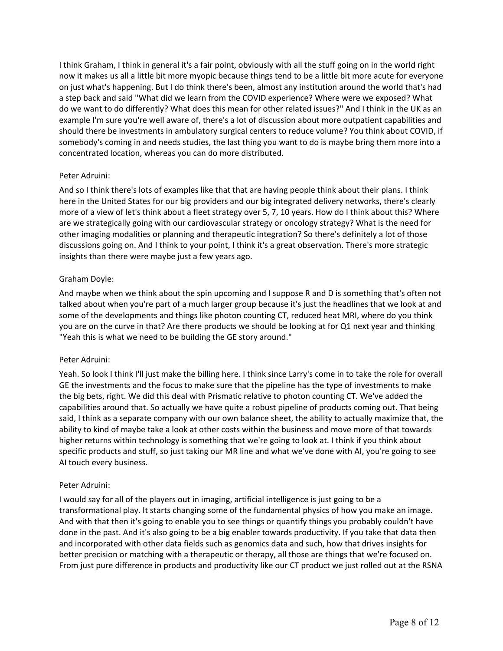I think Graham, I think in general it's a fair point, obviously with all the stuff going on in the world right now it makes us all a little bit more myopic because things tend to be a little bit more acute for everyone on just what's happening. But I do think there's been, almost any institution around the world that's had a step back and said "What did we learn from the COVID experience? Where were we exposed? What do we want to do differently? What does this mean for other related issues?" And I think in the UK as an example I'm sure you're well aware of, there's a lot of discussion about more outpatient capabilities and should there be investments in ambulatory surgical centers to reduce volume? You think about COVID, if somebody's coming in and needs studies, the last thing you want to do is maybe bring them more into a concentrated location, whereas you can do more distributed.

# Peter Adruini:

And so I think there's lots of examples like that that are having people think about their plans. I think here in the United States for our big providers and our big integrated delivery networks, there's clearly more of a view of let's think about a fleet strategy over 5, 7, 10 years. How do I think about this? Where are we strategically going with our cardiovascular strategy or oncology strategy? What is the need for other imaging modalities or planning and therapeutic integration? So there's definitely a lot of those discussions going on. And I think to your point, I think it's a great observation. There's more strategic insights than there were maybe just a few years ago.

# Graham Doyle:

And maybe when we think about the spin upcoming and I suppose R and D is something that's often not talked about when you're part of a much larger group because it's just the headlines that we look at and some of the developments and things like photon counting CT, reduced heat MRI, where do you think you are on the curve in that? Are there products we should be looking at for Q1 next year and thinking "Yeah this is what we need to be building the GE story around."

#### Peter Adruini:

Yeah. So look I think I'll just make the billing here. I think since Larry's come in to take the role for overall GE the investments and the focus to make sure that the pipeline has the type of investments to make the big bets, right. We did this deal with Prismatic relative to photon counting CT. We've added the capabilities around that. So actually we have quite a robust pipeline of products coming out. That being said, I think as a separate company with our own balance sheet, the ability to actually maximize that, the ability to kind of maybe take a look at other costs within the business and move more of that towards higher returns within technology is something that we're going to look at. I think if you think about specific products and stuff, so just taking our MR line and what we've done with AI, you're going to see AI touch every business.

#### Peter Adruini:

I would say for all of the players out in imaging, artificial intelligence is just going to be a transformational play. It starts changing some of the fundamental physics of how you make an image. And with that then it's going to enable you to see things or quantify things you probably couldn't have done in the past. And it's also going to be a big enabler towards productivity. If you take that data then and incorporated with other data fields such as genomics data and such, how that drives insights for better precision or matching with a therapeutic or therapy, all those are things that we're focused on. From just pure difference in products and productivity like our CT product we just rolled out at the RSNA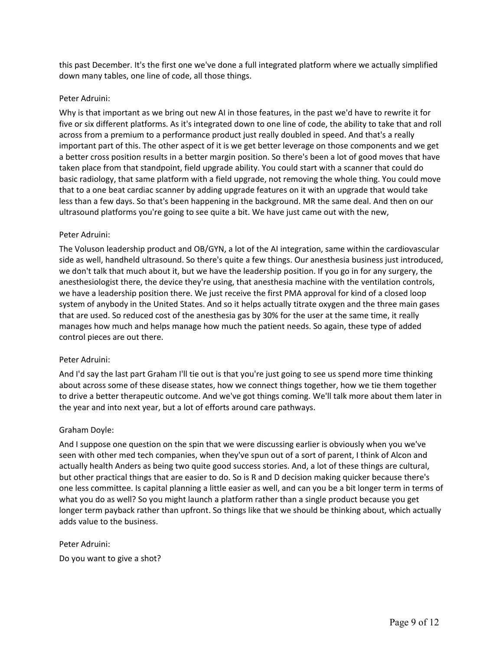this past December. It's the first one we've done a full integrated platform where we actually simplified down many tables, one line of code, all those things.

# Peter Adruini:

Why is that important as we bring out new AI in those features, in the past we'd have to rewrite it for five or six different platforms. As it's integrated down to one line of code, the ability to take that and roll across from a premium to a performance product just really doubled in speed. And that's a really important part of this. The other aspect of it is we get better leverage on those components and we get a better cross position results in a better margin position. So there's been a lot of good moves that have taken place from that standpoint, field upgrade ability. You could start with a scanner that could do basic radiology, that same platform with a field upgrade, not removing the whole thing. You could move that to a one beat cardiac scanner by adding upgrade features on it with an upgrade that would take less than a few days. So that's been happening in the background. MR the same deal. And then on our ultrasound platforms you're going to see quite a bit. We have just came out with the new,

# Peter Adruini:

The Voluson leadership product and OB/GYN, a lot of the AI integration, same within the cardiovascular side as well, handheld ultrasound. So there's quite a few things. Our anesthesia business just introduced, we don't talk that much about it, but we have the leadership position. If you go in for any surgery, the anesthesiologist there, the device they're using, that anesthesia machine with the ventilation controls, we have a leadership position there. We just receive the first PMA approval for kind of a closed loop system of anybody in the United States. And so it helps actually titrate oxygen and the three main gases that are used. So reduced cost of the anesthesia gas by 30% for the user at the same time, it really manages how much and helps manage how much the patient needs. So again, these type of added control pieces are out there.

# Peter Adruini:

And I'd say the last part Graham I'll tie out is that you're just going to see us spend more time thinking about across some of these disease states, how we connect things together, how we tie them together to drive a better therapeutic outcome. And we've got things coming. We'll talk more about them later in the year and into next year, but a lot of efforts around care pathways.

# Graham Doyle:

And I suppose one question on the spin that we were discussing earlier is obviously when you we've seen with other med tech companies, when they've spun out of a sort of parent, I think of Alcon and actually health Anders as being two quite good success stories. And, a lot of these things are cultural, but other practical things that are easier to do. So is R and D decision making quicker because there's one less committee. Is capital planning a little easier as well, and can you be a bit longer term in terms of what you do as well? So you might launch a platform rather than a single product because you get longer term payback rather than upfront. So things like that we should be thinking about, which actually adds value to the business.

# Peter Adruini:

Do you want to give a shot?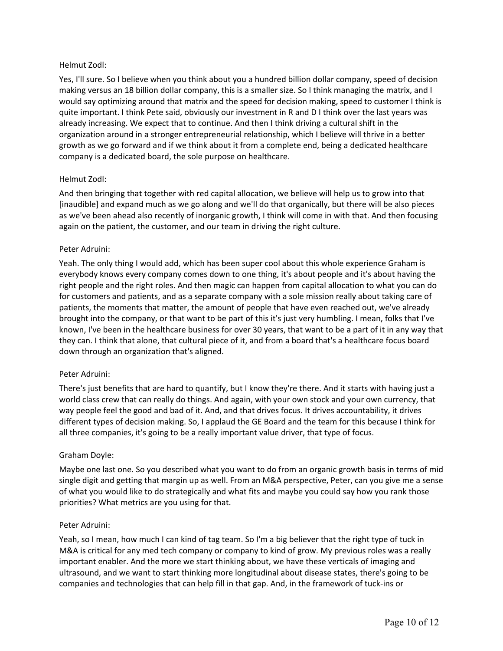# Helmut Zodl:

Yes, I'll sure. So I believe when you think about you a hundred billion dollar company, speed of decision making versus an 18 billion dollar company, this is a smaller size. So I think managing the matrix, and I would say optimizing around that matrix and the speed for decision making, speed to customer I think is quite important. I think Pete said, obviously our investment in R and D I think over the last years was already increasing. We expect that to continue. And then I think driving a cultural shift in the organization around in a stronger entrepreneurial relationship, which I believe will thrive in a better growth as we go forward and if we think about it from a complete end, being a dedicated healthcare company is a dedicated board, the sole purpose on healthcare.

# Helmut Zodl:

And then bringing that together with red capital allocation, we believe will help us to grow into that [inaudible] and expand much as we go along and we'll do that organically, but there will be also pieces as we've been ahead also recently of inorganic growth, I think will come in with that. And then focusing again on the patient, the customer, and our team in driving the right culture.

# Peter Adruini:

Yeah. The only thing I would add, which has been super cool about this whole experience Graham is everybody knows every company comes down to one thing, it's about people and it's about having the right people and the right roles. And then magic can happen from capital allocation to what you can do for customers and patients, and as a separate company with a sole mission really about taking care of patients, the moments that matter, the amount of people that have even reached out, we've already brought into the company, or that want to be part of this it's just very humbling. I mean, folks that I've known, I've been in the healthcare business for over 30 years, that want to be a part of it in any way that they can. I think that alone, that cultural piece of it, and from a board that's a healthcare focus board down through an organization that's aligned.

#### Peter Adruini:

There's just benefits that are hard to quantify, but I know they're there. And it starts with having just a world class crew that can really do things. And again, with your own stock and your own currency, that way people feel the good and bad of it. And, and that drives focus. It drives accountability, it drives different types of decision making. So, I applaud the GE Board and the team for this because I think for all three companies, it's going to be a really important value driver, that type of focus.

#### Graham Doyle:

Maybe one last one. So you described what you want to do from an organic growth basis in terms of mid single digit and getting that margin up as well. From an M&A perspective, Peter, can you give me a sense of what you would like to do strategically and what fits and maybe you could say how you rank those priorities? What metrics are you using for that.

#### Peter Adruini:

Yeah, so I mean, how much I can kind of tag team. So I'm a big believer that the right type of tuck in M&A is critical for any med tech company or company to kind of grow. My previous roles was a really important enabler. And the more we start thinking about, we have these verticals of imaging and ultrasound, and we want to start thinking more longitudinal about disease states, there's going to be companies and technologies that can help fill in that gap. And, in the framework of tuck-ins or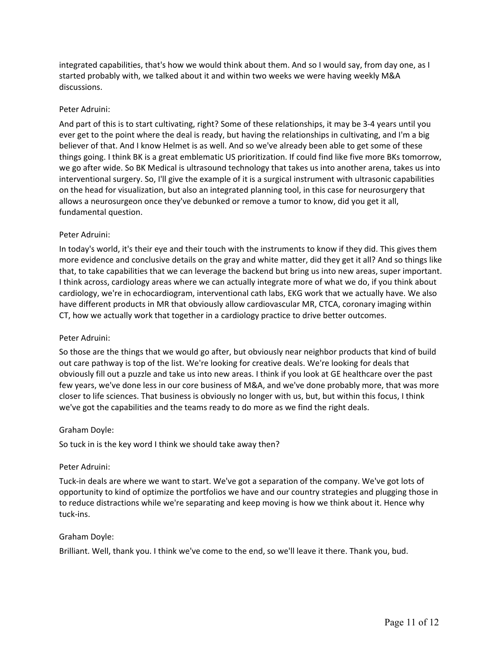integrated capabilities, that's how we would think about them. And so I would say, from day one, as I started probably with, we talked about it and within two weeks we were having weekly M&A discussions.

# Peter Adruini:

And part of this is to start cultivating, right? Some of these relationships, it may be 3-4 years until you ever get to the point where the deal is ready, but having the relationships in cultivating, and I'm a big believer of that. And I know Helmet is as well. And so we've already been able to get some of these things going. I think BK is a great emblematic US prioritization. If could find like five more BKs tomorrow, we go after wide. So BK Medical is ultrasound technology that takes us into another arena, takes us into interventional surgery. So, I'll give the example of it is a surgical instrument with ultrasonic capabilities on the head for visualization, but also an integrated planning tool, in this case for neurosurgery that allows a neurosurgeon once they've debunked or remove a tumor to know, did you get it all, fundamental question.

# Peter Adruini:

In today's world, it's their eye and their touch with the instruments to know if they did. This gives them more evidence and conclusive details on the gray and white matter, did they get it all? And so things like that, to take capabilities that we can leverage the backend but bring us into new areas, super important. I think across, cardiology areas where we can actually integrate more of what we do, if you think about cardiology, we're in echocardiogram, interventional cath labs, EKG work that we actually have. We also have different products in MR that obviously allow cardiovascular MR, CTCA, coronary imaging within CT, how we actually work that together in a cardiology practice to drive better outcomes.

#### Peter Adruini:

So those are the things that we would go after, but obviously near neighbor products that kind of build out care pathway is top of the list. We're looking for creative deals. We're looking for deals that obviously fill out a puzzle and take us into new areas. I think if you look at GE healthcare over the past few years, we've done less in our core business of M&A, and we've done probably more, that was more closer to life sciences. That business is obviously no longer with us, but, but within this focus, I think we've got the capabilities and the teams ready to do more as we find the right deals.

#### Graham Doyle:

So tuck in is the key word I think we should take away then?

#### Peter Adruini:

Tuck-in deals are where we want to start. We've got a separation of the company. We've got lots of opportunity to kind of optimize the portfolios we have and our country strategies and plugging those in to reduce distractions while we're separating and keep moving is how we think about it. Hence why tuck-ins.

#### Graham Doyle:

Brilliant. Well, thank you. I think we've come to the end, so we'll leave it there. Thank you, bud.